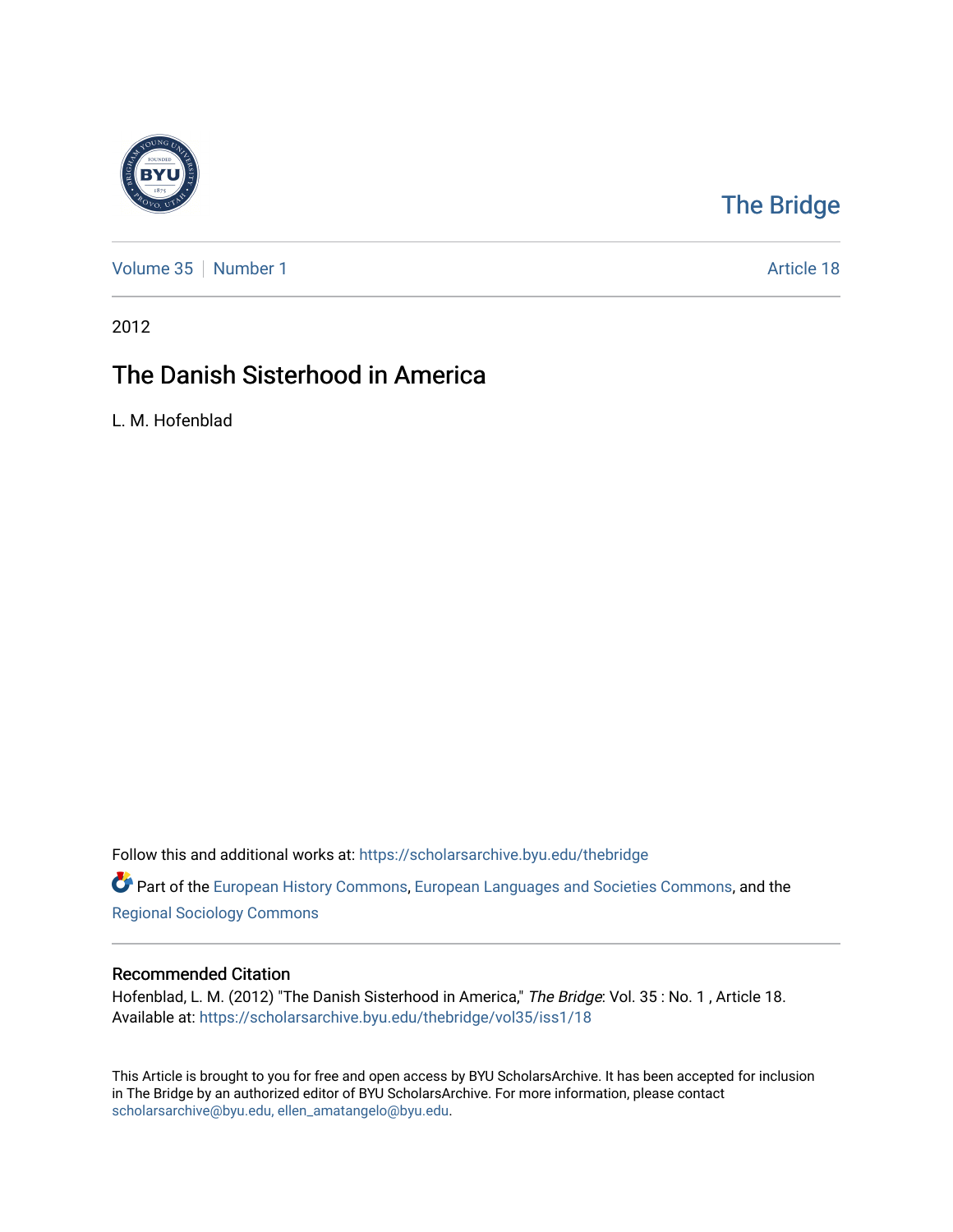

## [The Bridge](https://scholarsarchive.byu.edu/thebridge)

[Volume 35](https://scholarsarchive.byu.edu/thebridge/vol35) [Number 1](https://scholarsarchive.byu.edu/thebridge/vol35/iss1) Article 18

2012

## The Danish Sisterhood in America

L. M. Hofenblad

Follow this and additional works at: [https://scholarsarchive.byu.edu/thebridge](https://scholarsarchive.byu.edu/thebridge?utm_source=scholarsarchive.byu.edu%2Fthebridge%2Fvol35%2Fiss1%2F18&utm_medium=PDF&utm_campaign=PDFCoverPages) 

Part of the [European History Commons](http://network.bepress.com/hgg/discipline/492?utm_source=scholarsarchive.byu.edu%2Fthebridge%2Fvol35%2Fiss1%2F18&utm_medium=PDF&utm_campaign=PDFCoverPages), [European Languages and Societies Commons,](http://network.bepress.com/hgg/discipline/482?utm_source=scholarsarchive.byu.edu%2Fthebridge%2Fvol35%2Fiss1%2F18&utm_medium=PDF&utm_campaign=PDFCoverPages) and the [Regional Sociology Commons](http://network.bepress.com/hgg/discipline/427?utm_source=scholarsarchive.byu.edu%2Fthebridge%2Fvol35%2Fiss1%2F18&utm_medium=PDF&utm_campaign=PDFCoverPages) 

## Recommended Citation

Hofenblad, L. M. (2012) "The Danish Sisterhood in America," The Bridge: Vol. 35: No. 1, Article 18. Available at: [https://scholarsarchive.byu.edu/thebridge/vol35/iss1/18](https://scholarsarchive.byu.edu/thebridge/vol35/iss1/18?utm_source=scholarsarchive.byu.edu%2Fthebridge%2Fvol35%2Fiss1%2F18&utm_medium=PDF&utm_campaign=PDFCoverPages)

This Article is brought to you for free and open access by BYU ScholarsArchive. It has been accepted for inclusion in The Bridge by an authorized editor of BYU ScholarsArchive. For more information, please contact [scholarsarchive@byu.edu, ellen\\_amatangelo@byu.edu](mailto:scholarsarchive@byu.edu,%20ellen_amatangelo@byu.edu).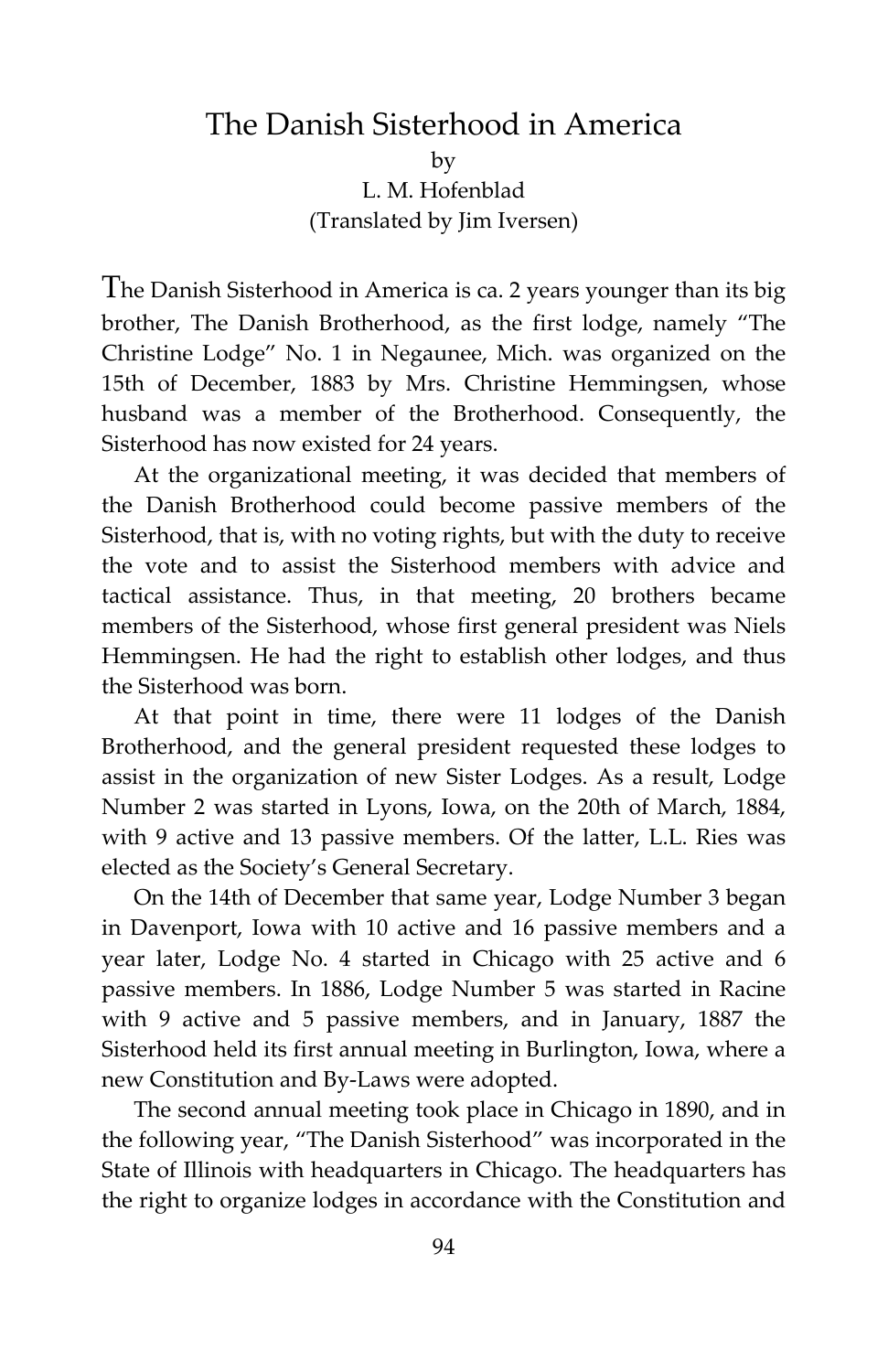## The Danish Sisterhood in America

by L. M. Hofenblad (Translated by Jim Iversen)

The Danish Sisterhood in America is ca. 2 years younger than its big brother, The Danish Brotherhood, as the first lodge, namely "The Christine Lodge" No. 1 in Negaunee, Mich. was organized on the 15th of December, 1883 by Mrs. Christine Hemmingsen, whose husband was a member of the Brotherhood. Consequently, the Sisterhood has now existed for 24 years.

At the organizational meeting, it was decided that members of the Danish Brotherhood could become passive members of the Sisterhood, that is, with no voting rights, but with the duty to receive the vote and to assist the Sisterhood members with advice and tactical assistance. Thus, in that meeting, 20 brothers became members of the Sisterhood, whose first general president was Niels Hemmingsen. He had the right to establish other lodges, and thus the Sisterhood was born.

At that point in time, there were 11 lodges of the Danish Brotherhood, and the general president requested these lodges to assist in the organization of new Sister Lodges. As a result, Lodge Number 2 was started in Lyons, Iowa, on the 20th of March, 1884, with 9 active and 13 passive members. Of the latter, L.L. Ries was elected as the Society's General Secretary.

On the 14th of December that same year, Lodge Number 3 began in Davenport, Iowa with 10 active and 16 passive members and a year later, Lodge No. 4 started in Chicago with 25 active and 6 passive members. In 1886, Lodge Number 5 was started in Racine with 9 active and 5 passive members, and in January, 1887 the Sisterhood held its first annual meeting in Burlington, Iowa, where a new Constitution and By-Laws were adopted.

The second annual meeting took place in Chicago in 1890, and in the following year, "The Danish Sisterhood" was incorporated in the State of Illinois with headquarters in Chicago. The headquarters has the right to organize lodges in accordance with the Constitution and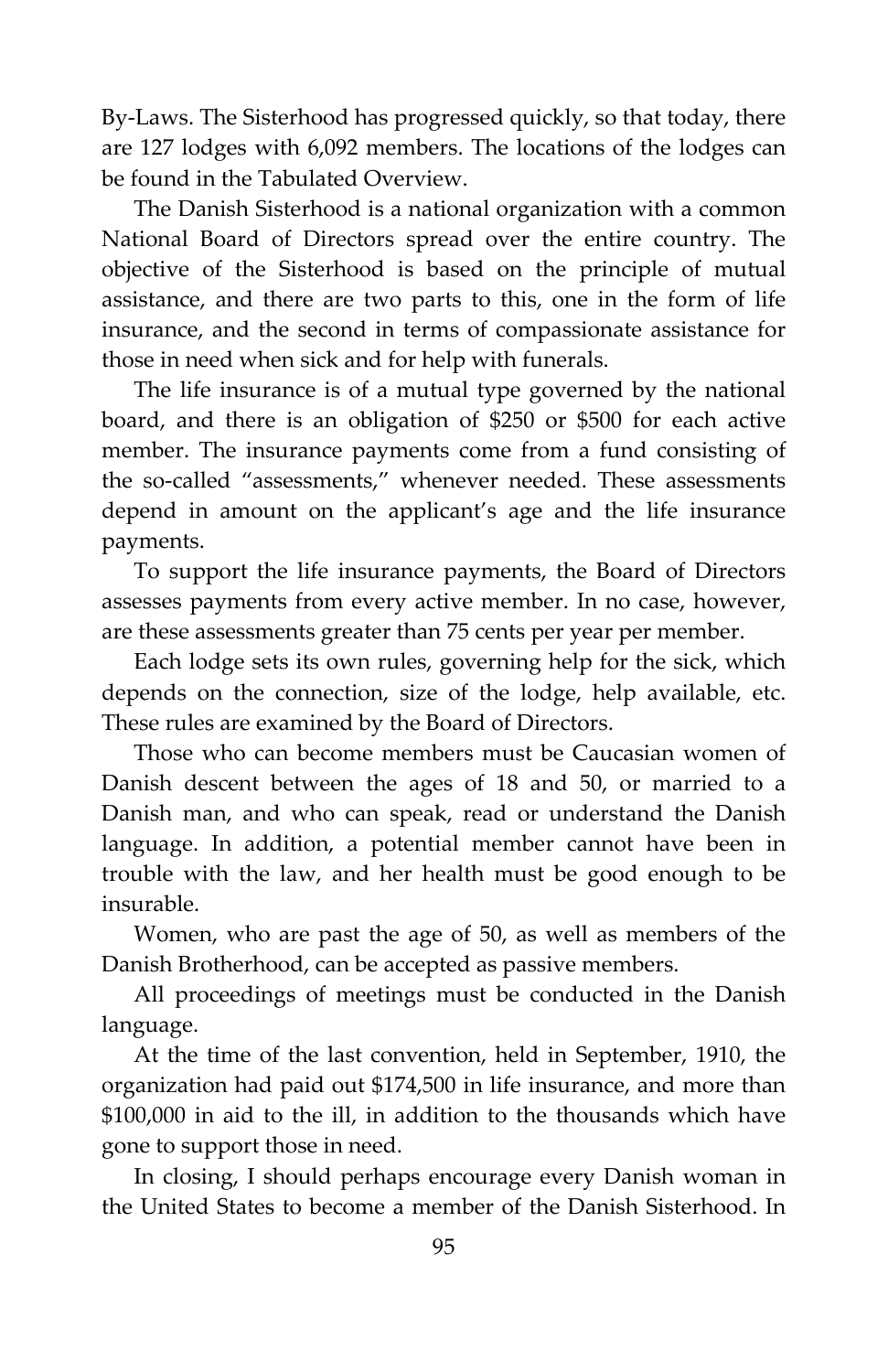By-Laws. The Sisterhood has progressed quickly, so that today, there are 127 lodges with 6,092 members. The locations of the lodges can be found in the Tabulated Overview.

The Danish Sisterhood is a national organization with a common National Board of Directors spread over the entire country. The objective of the Sisterhood is based on the principle of mutual assistance, and there are two parts to this, one in the form of life insurance, and the second in terms of compassionate assistance for those in need when sick and for help with funerals.

The life insurance is of a mutual type governed by the national board, and there is an obligation of \$250 or \$500 for each active member. The insurance payments come from a fund consisting of the so-called "assessments," whenever needed. These assessments depend in amount on the applicant's age and the life insurance payments.

To support the life insurance payments, the Board of Directors assesses payments from every active member. In no case, however, are these assessments greater than 75 cents per year per member.

Each lodge sets its own rules, governing help for the sick, which depends on the connection, size of the lodge, help available, etc. These rules are examined by the Board of Directors.

Those who can become members must be Caucasian women of Danish descent between the ages of 18 and 50, or married to a Danish man, and who can speak, read or understand the Danish language. In addition, a potential member cannot have been in trouble with the law, and her health must be good enough to be insurable.

Women, who are past the age of 50, as well as members of the Danish Brotherhood, can be accepted as passive members.

All proceedings of meetings must be conducted in the Danish language.

At the time of the last convention, held in September, 1910, the organization had paid out \$174,500 in life insurance, and more than \$100,000 in aid to the ill, in addition to the thousands which have gone to support those in need.

In closing, I should perhaps encourage every Danish woman in the United States to become a member of the Danish Sisterhood. In